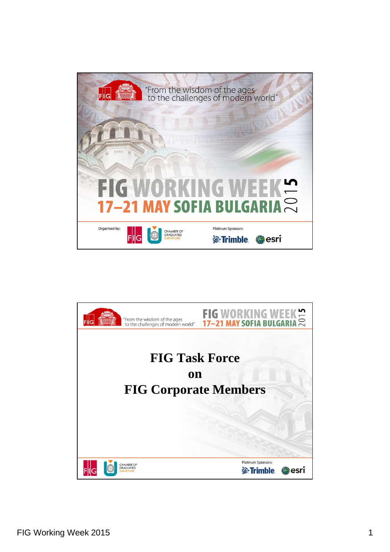

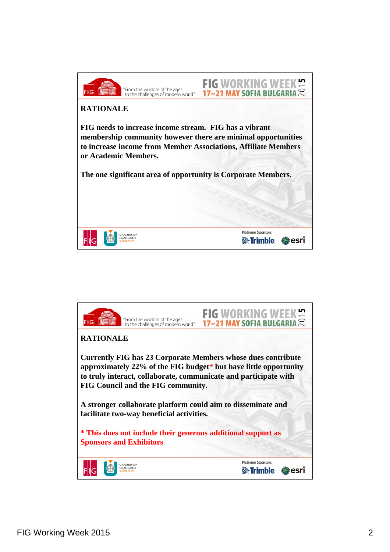

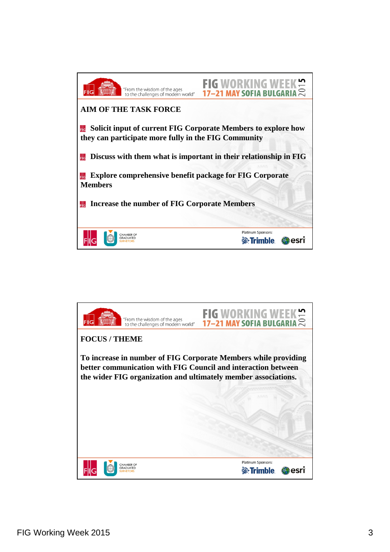